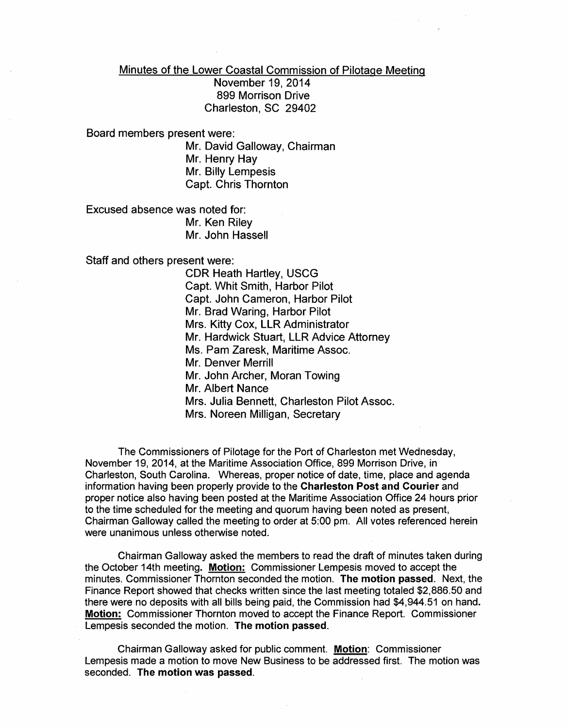Minutes of the Lower Coastal Commission of Pilotage Meeting

November 19,2014 899 Morrison Drive Charleston, SC 29402

Board members present were:

Mr. David Galloway, Chairman Mr. Henry Hay Mr. Billy Lempesis Capt. Chris Thornton

Excused absence was noted for: Mr. Ken Riley Mr. John Hassell

Staff and others present were:

CDR Heath Hartley, USCG Capt. Whit Smith, Harbor Pilot Capt. John Cameron, Harbor Pilot Mr. Brad Waring, Harbor Pilot Mrs. Kitty Cox, LLR Administrator Mr. Hardwick Stuart, LLR Advice Attorney Ms. Pam Zaresk, Maritime Assoc. Mr. Denver Merrill Mr. John Archer, Moran Towing Mr. Albert Nance Mrs. Julia Bennett, Charleston Pilot Assoc. Mrs. Noreen Milligan, Secretary

The Commissioners of Pilotage for the Port of Charleston met Wednesday, November 19, 2014, at the Maritime Association Office, 899 Morrison Drive, in Charleston, South Carolina. Whereas, proper notice of date, time, place and agenda information having been properly provide to the Charleston Post and Courier and proper notice also having been posted at the Maritime Association Office 24 hours prior to the time scheduled for the meeting and quorum having been noted as present, Chairman Galloway called the meeting to order at 5:00 pm. All votes referenced herein were unanimous unless otherwise noted.

Chairman Galloway asked the members to read the draft of minutes taken during the October 14th meeting. Motion: Commissioner Lempesis moved to accept the minutes. Commissioner Thornton seconded the motion. The motion passed. Next, the Finance Report showed that checks written since the last meeting totaled \$2,886.50 and there were no deposits with all bills being paid, the Commission had \$4,944.51 on hand. Motion: Commissioner Thornton moved to accept the Finance Report. Commissioner Lempesis seconded the motion. The motion passed.

Chairman Galloway asked for public comment. Motion: Commissioner Lempesis made a motion to move New Business to be addressed first. The motion was seconded. The motion was passed.